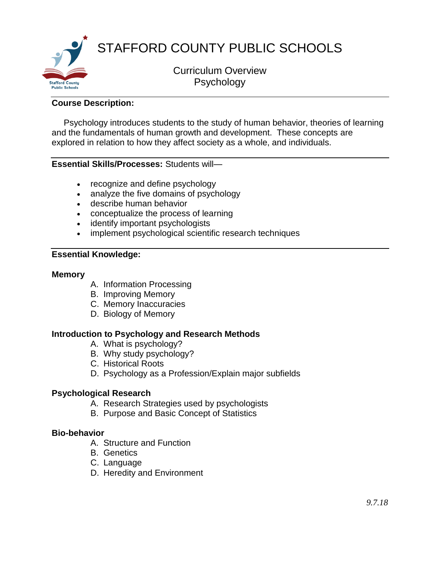

## **Course Description:**

 Psychology introduces students to the study of human behavior, theories of learning and the fundamentals of human growth and development. These concepts are explored in relation to how they affect society as a whole, and individuals.

### **Essential Skills/Processes:** Students will—

- recognize and define psychology
- analyze the five domains of psychology
- describe human behavior
- conceptualize the process of learning
- identify important psychologists
- implement psychological scientific research techniques

### **Essential Knowledge:**

#### **Memory**

- A. Information Processing
- B. Improving Memory
- C. Memory Inaccuracies
- D. Biology of Memory

#### **Introduction to Psychology and Research Methods**

- A. What is psychology?
- B. Why study psychology?
- C. Historical Roots
- D. Psychology as a Profession/Explain major subfields

#### **Psychological Research**

- A. Research Strategies used by psychologists
- B. Purpose and Basic Concept of Statistics

#### **Bio-behavior**

- A. Structure and Function
- B. Genetics
- C. Language
- D. Heredity and Environment